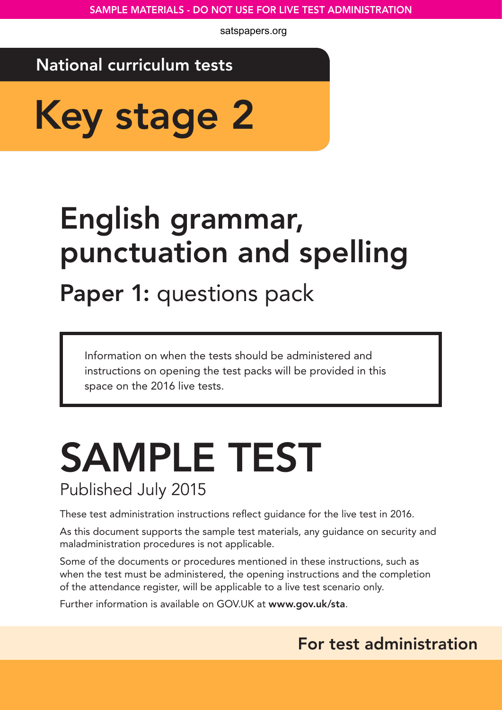satspapers.org

## National curriculum tests

Key stage 2

# English grammar, punctuation and spelling

Paper 1: questions pack

Information on when the tests should be administered and instructions on opening the test packs will be provided in this space on the 2016 live tests.

## SAMPLE TEST Published July 2015

These test administration instructions reflect guidance for the live test in 2016.

As this document supports the sample test materials, any guidance on security and maladministration procedures is not applicable.

Some of the documents or procedures mentioned in these instructions, such as when the test must be administered, the opening instructions and the completion of the attendance register, will be applicable to a live test scenario only.

Further information is available on GOV.UK at www.gov.uk/sta.

## For test administration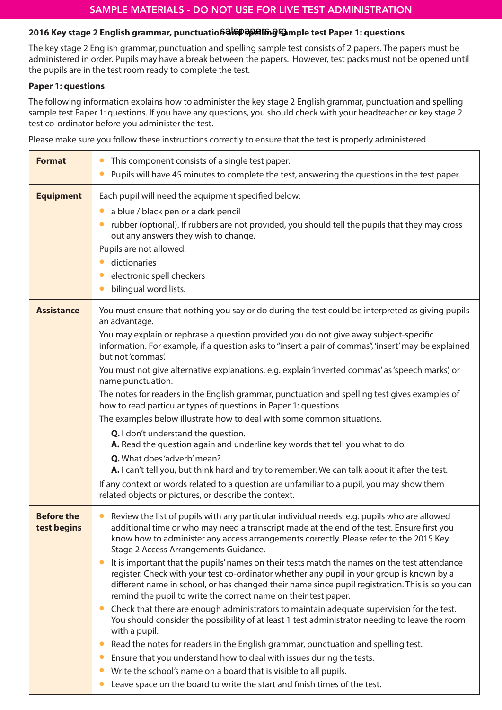### 2016 Key stage 2 English grammar, punctuatio**6aఏষ্ট Gpelling Gh**mple test Paper 1: questions

The key stage 2 English grammar, punctuation and spelling sample test consists of 2 papers. The papers must be administered in order. Pupils may have a break between the papers. However, test packs must not be opened until the pupils are in the test room ready to complete the test.

#### **Paper 1: questions**

The following information explains how to administer the key stage 2 English grammar, punctuation and spelling sample test Paper 1: questions. If you have any questions, you should check with your headteacher or key stage 2 test co-ordinator before you administer the test.

Please make sure you follow these instructions correctly to ensure that the test is properly administered.

| <b>Format</b>                    | This component consists of a single test paper.<br>$\bullet$<br>Pupils will have 45 minutes to complete the test, answering the questions in the test paper.<br>$\bullet$                                                                                                                                                                                                                                                                                                                                                                                                                                                                                                                                                                                                                                                                                                                                                                                                                                                                                                                                                                                                                                                                                 |
|----------------------------------|-----------------------------------------------------------------------------------------------------------------------------------------------------------------------------------------------------------------------------------------------------------------------------------------------------------------------------------------------------------------------------------------------------------------------------------------------------------------------------------------------------------------------------------------------------------------------------------------------------------------------------------------------------------------------------------------------------------------------------------------------------------------------------------------------------------------------------------------------------------------------------------------------------------------------------------------------------------------------------------------------------------------------------------------------------------------------------------------------------------------------------------------------------------------------------------------------------------------------------------------------------------|
| <b>Equipment</b>                 | Each pupil will need the equipment specified below:<br>a blue / black pen or a dark pencil<br>$\bullet$<br>rubber (optional). If rubbers are not provided, you should tell the pupils that they may cross<br>$\bullet$<br>out any answers they wish to change.<br>Pupils are not allowed:<br>dictionaries<br>electronic spell checkers<br>bilingual word lists.                                                                                                                                                                                                                                                                                                                                                                                                                                                                                                                                                                                                                                                                                                                                                                                                                                                                                           |
| <b>Assistance</b>                | You must ensure that nothing you say or do during the test could be interpreted as giving pupils<br>an advantage.<br>You may explain or rephrase a question provided you do not give away subject-specific<br>information. For example, if a question asks to "insert a pair of commas", 'insert' may be explained<br>but not 'commas'.<br>You must not give alternative explanations, e.g. explain 'inverted commas' as 'speech marks', or<br>name punctuation.<br>The notes for readers in the English grammar, punctuation and spelling test gives examples of<br>how to read particular types of questions in Paper 1: questions.<br>The examples below illustrate how to deal with some common situations.<br>Q. I don't understand the question.<br>A. Read the question again and underline key words that tell you what to do.<br>Q. What does 'adverb' mean?<br>A. I can't tell you, but think hard and try to remember. We can talk about it after the test.<br>If any context or words related to a question are unfamiliar to a pupil, you may show them<br>related objects or pictures, or describe the context.                                                                                                                             |
| <b>Before the</b><br>test begins | Review the list of pupils with any particular individual needs: e.g. pupils who are allowed<br>additional time or who may need a transcript made at the end of the test. Ensure first you<br>know how to administer any access arrangements correctly. Please refer to the 2015 Key<br>Stage 2 Access Arrangements Guidance.<br>It is important that the pupils' names on their tests match the names on the test attendance<br>$\bullet$<br>register. Check with your test co-ordinator whether any pupil in your group is known by a<br>different name in school, or has changed their name since pupil registration. This is so you can<br>remind the pupil to write the correct name on their test paper.<br>Check that there are enough administrators to maintain adequate supervision for the test.<br>$\bullet$<br>You should consider the possibility of at least 1 test administrator needing to leave the room<br>with a pupil.<br>Read the notes for readers in the English grammar, punctuation and spelling test.<br>Ensure that you understand how to deal with issues during the tests.<br>Write the school's name on a board that is visible to all pupils.<br>Leave space on the board to write the start and finish times of the test. |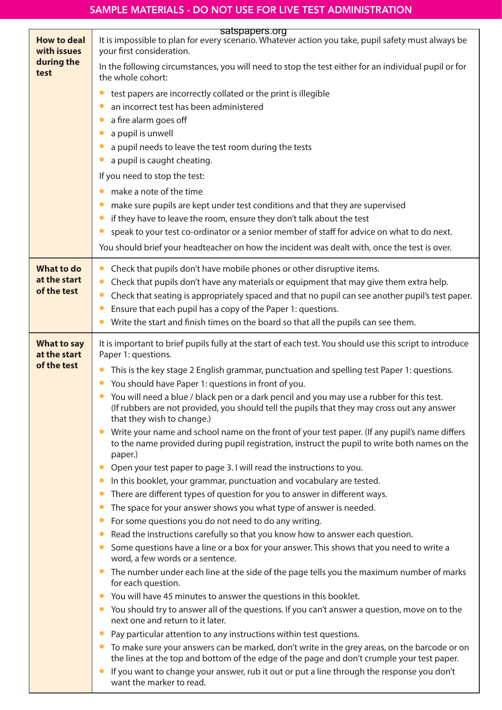|                                                         | satspapers.org                                                                                                                                                                                 |
|---------------------------------------------------------|------------------------------------------------------------------------------------------------------------------------------------------------------------------------------------------------|
| <b>How to deal</b><br>with issues<br>during the<br>test | It is impossible to plan for every scenario. Whatever action you take, pupil safety must always be<br>your first consideration.                                                                |
|                                                         | In the following circumstances, you will need to stop the test either for an individual pupil or for<br>the whole cohort:                                                                      |
|                                                         | test papers are incorrectly collated or the print is illegible                                                                                                                                 |
|                                                         | an incorrect test has been administered                                                                                                                                                        |
|                                                         | a fire alarm goes off                                                                                                                                                                          |
|                                                         | a pupil is unwell                                                                                                                                                                              |
|                                                         | a pupil needs to leave the test room during the tests                                                                                                                                          |
|                                                         | a pupil is caught cheating.                                                                                                                                                                    |
|                                                         | If you need to stop the test:                                                                                                                                                                  |
|                                                         | make a note of the time                                                                                                                                                                        |
|                                                         | make sure pupils are kept under test conditions and that they are supervised                                                                                                                   |
|                                                         | if they have to leave the room, ensure they don't talk about the test                                                                                                                          |
|                                                         | speak to your test co-ordinator or a senior member of staff for advice on what to do next.                                                                                                     |
|                                                         | You should brief your headteacher on how the incident was dealt with, once the test is over.                                                                                                   |
| <b>What to do</b>                                       | Check that pupils don't have mobile phones or other disruptive items.                                                                                                                          |
| at the start                                            | Check that pupils don't have any materials or equipment that may give them extra help.                                                                                                         |
| of the test                                             | Check that seating is appropriately spaced and that no pupil can see another pupil's test paper.                                                                                               |
|                                                         | Ensure that each pupil has a copy of the Paper 1: questions.                                                                                                                                   |
|                                                         | Write the start and finish times on the board so that all the pupils can see them.                                                                                                             |
| <b>What to say</b><br>at the start                      | It is important to brief pupils fully at the start of each test. You should use this script to introduce<br>Paper 1: questions.                                                                |
| of the test                                             | This is the key stage 2 English grammar, punctuation and spelling test Paper 1: questions.                                                                                                     |
|                                                         | You should have Paper 1: questions in front of you.                                                                                                                                            |
|                                                         | You will need a blue / black pen or a dark pencil and you may use a rubber for this test.                                                                                                      |
|                                                         | (If rubbers are not provided, you should tell the pupils that they may cross out any answer<br>that they wish to change.)                                                                      |
|                                                         | Write your name and school name on the front of your test paper. (If any pupil's name differs<br>to the name provided during pupil registration, instruct the pupil to write both names on the |
|                                                         | paper.)                                                                                                                                                                                        |
|                                                         | Open your test paper to page 3. I will read the instructions to you.                                                                                                                           |
|                                                         | In this booklet, your grammar, punctuation and vocabulary are tested.                                                                                                                          |
|                                                         | There are different types of question for you to answer in different ways.                                                                                                                     |
|                                                         | The space for your answer shows you what type of answer is needed.                                                                                                                             |
|                                                         | For some questions you do not need to do any writing.<br>$\bullet$                                                                                                                             |
|                                                         | Read the instructions carefully so that you know how to answer each question.<br>Some questions have a line or a box for your answer. This shows that you need to write a                      |
|                                                         | word, a few words or a sentence.                                                                                                                                                               |
|                                                         | The number under each line at the side of the page tells you the maximum number of marks<br>for each question.                                                                                 |
|                                                         | You will have 45 minutes to answer the questions in this booklet.                                                                                                                              |
|                                                         | You should try to answer all of the questions. If you can't answer a question, move on to the<br>next one and return to it later.                                                              |
|                                                         | Pay particular attention to any instructions within test questions.                                                                                                                            |
|                                                         | To make sure your answers can be marked, don't write in the grey areas, on the barcode or on<br>the lines at the top and bottom of the edge of the page and don't crumple your test paper.     |
|                                                         | If you want to change your answer, rub it out or put a line through the response you don't<br>want the marker to read.                                                                         |